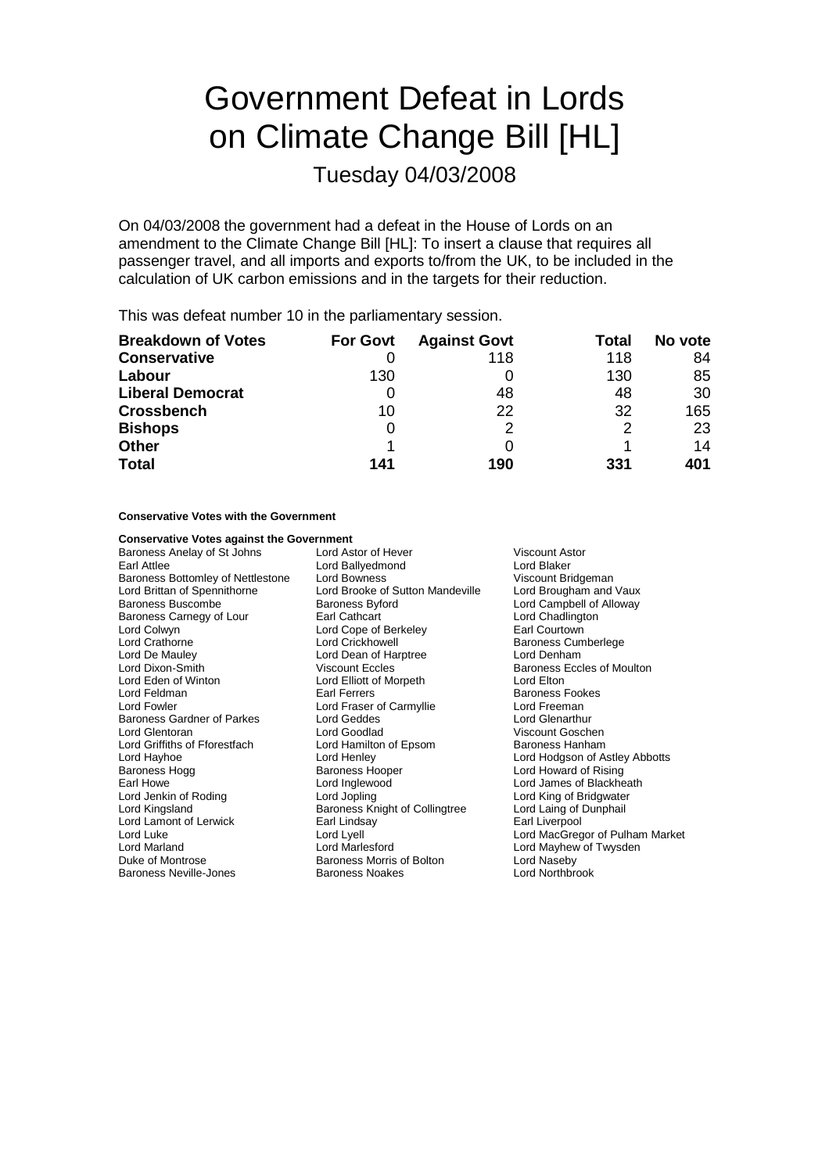# Government Defeat in Lords on Climate Change Bill [HL]

Tuesday 04/03/2008

On 04/03/2008 the government had a defeat in the House of Lords on an amendment to the Climate Change Bill [HL]: To insert a clause that requires all passenger travel, and all imports and exports to/from the UK, to be included in the calculation of UK carbon emissions and in the targets for their reduction.

This was defeat number 10 in the parliamentary session.

| <b>Breakdown of Votes</b> | <b>For Govt</b> | <b>Against Govt</b> | Total | No vote |
|---------------------------|-----------------|---------------------|-------|---------|
| <b>Conservative</b>       |                 | 118                 | 118   | 84      |
| Labour                    | 130             |                     | 130   | 85      |
| <b>Liberal Democrat</b>   |                 | 48                  | 48    | 30      |
| <b>Crossbench</b>         | 10              | 22                  | 32    | 165     |
| <b>Bishops</b>            | 0               |                     |       | 23      |
| <b>Other</b>              |                 |                     |       | 14      |
| <b>Total</b>              | 141             | 190                 | 331   | 401     |

### **Conservative Votes with the Government**

### **Conservative Votes against the Government**<br>Baroness Anelay of St Johns Lord Astor of Hever

Baroness Anelay of St Johns Lord Astor of Hever Viscount Astor Earl Attlee **Lord Ballyedmond**<br> **Earl Attlee Community of Nettlestone Lord Bowness**<br>
Lord Bowness<br>
Lord Bowness<br>
Correspond Community Community Community Community Community Community Community Community Community Communit Baroness Bottomley of Nettlestone Lord Bowness Viscount Bridgeman<br>
Lord Brittan of Spennithorne Lord Brooke of Sutton Mandeville Lord Brougham and Vaux Baroness Buscombe **Baroness Byford Baroness Byford** Lord Campbell of Alloway Baroness Carnegy of Lour Earl Cathcart Earl Courcess Carnegy of Lour Chadlington<br>
Lord Colwyn 
Lord Cope of Berkeley

Lord Courcown

Lord Courtown

Lord Courcown

Lord Courtown

Lord Courcown

Lord Courcown

Lord Courcow Lord Colwyn Terms Lord Cope of Berkeley<br>
Lord Crathorne Lord Crickhowell Lord De Mauley Lord Dean of Harptree Lord Denham Lord Dixon-Smith **Communist Communist Communist Communist Communist Communist Communist Communist Communist Co**<br>
Lord Eden of Winton **Communist Communist Communist Communist Communist Communist Communist Communist Communis** Lord Eden of Winton<br>
Lord Elliott of Morpeth<br>
Lord Eeldman<br>
Lord Eeldman Lord Fowler Lord Fraser of Carmyllie Lord Freeman<br>
Baroness Gardner of Parkes Lord Geddes Lord Clenarthur Baroness Gardner of Parkes Lord Glentoran **Lord Goodlad** Viscount Goschen<br>
Lord Griffiths of Fforestfach **Lord Hamilton of Epsom** Baroness Hanham Lord Griffiths of Fforestfach Lord Hamilton of Epsom Baroness Hanham Lord Hayhoe **Lord Henley** Lord Henley **Lord Hotal Lord Hodgson of Astley Abbotts**<br>
Baroness Hogg **Baroness Hooper** Lord Howard of Rising Baroness Hogg **Baroness Hooper Baroness Hooper Lord Howard of Rising**<br>
Earl Howe **Backet Lord Lord Lord Lord Lord James of Blackhe** Earl Howe Tearl Howe Lord Inglewood Lord Lord James of Blackheath<br>
Lord Jenkin of Roding Tearl Lord Jopling Tearl Lord Cord King of Bridgwater Lord Jenkin of Roding **Lord Lord Jopling** Lord Lord Lord King of Bridgwater<br>Lord Kingsland **Lord Lord Lord Lord Lord Laing of Dunphail** Lord Lamont of Lerwick Lord Luke Lord Lyell Lord MacGregor of Pulham Market Lord Marland Lord Marlesford Lord Mayhew of Twysden Baroness Neville-Jones Baroness Noakes Lord Northbrook

Lord Brooke of Sutton Mandeville<br>Baroness Byford Baroness Knight of Collingtree Lord Laing of I<br>Earl Lindsav Barl Liverpool Baroness Morris of Bolton

Baroness Cumberlege Baroness Fookes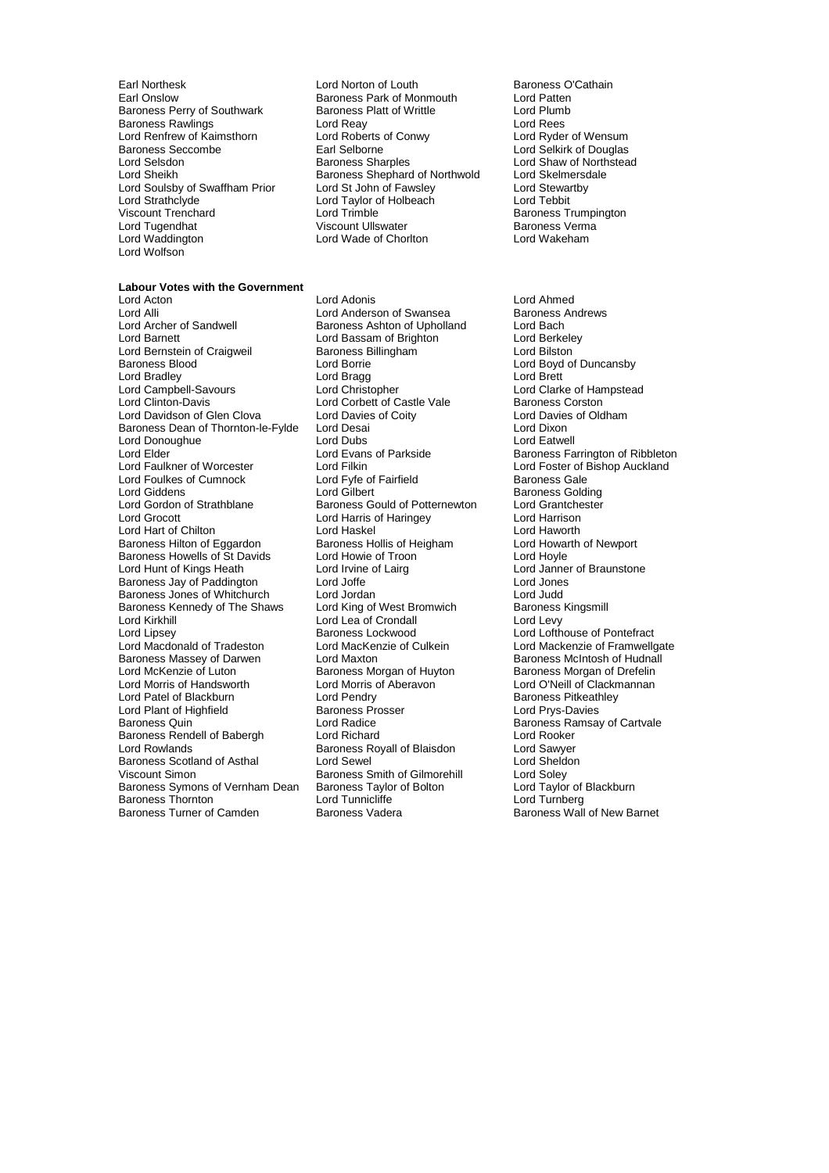Lord Renfrew of Kaimsthorn Lord Roberts of Congress Seccombe<br>Baroness Seccombe Earl Selborne Lord Strathclyde Lord Taylor of Holbeach<br>
Viscount Trenchard Lord Trimble Lord Wolfson

**Labour Votes with the Government**

Earl Northesk **Lord Norton of Louth Baroness O'Cathain**<br>
Earl Onslow **Baroness Park of Monmouth** Lord Patten Earoness Park of Monmouth Lord Patten<br>
Baroness Platt of Writtle Lord Plumb Baroness Perry of Southwark Baroness Platt of Writtle **Lord Plumb**<br>Baroness Rawlings **Baroness Lord Reav** Lord Reav Baroness Rawlings Lord Rear Lord Rear Lord Rear Lord Rees<br>
Lord Renfrew of Kaimsthorn Lord Roberts of Conwy Lord Roder of Wensum Baroness Seccombe Earl Selborne Lord Selkirk of Douglas<br>
Lord Selsdon Baroness Sharoles Lord Shaw of Northstea Lord Sheikh Baroness Shephard of Northwold<br>Lord Soulsby of Swaffham Prior Baroness Shephard of Northwold Lord Soulsby of Swaffham Prior Lord St John of Fawsley Lord Stewartby<br>
Lord Strathclyde Lord Taylor Cord Taylor of Holbeach Lord Tebbit Viscount Trenchard Lord Trimble Baroness Trumpington Lord Tugendhat Viscount Ullswater Baroness Verma Lord Wade of Chorlton

Lord Acton Lord Adonis Lord Ahmed Lord Alli Lord Anderson of Swansea Baroness Ashton of Swansea<br>
Lord Archer of Sandwell Baroness Ashton of Upholland Lord Bach Lord Archer of Sandwell **Baroness Ashton of Upholland** Lord Bach<br>
Lord Barnett Lord Bach Lord Bassam of Brighton Lord Berkeley Lord Bernstein of Craigweil **Baroness Billingham** Lord Bilston Lord Bilston<br>Baroness Blood **Baroness Blood Lord Borte** Lord Bradley Lord Bragg Lord Brett Lord Campbell-Savours Lord Christopher Lord Clarke of Hampstead Lord Davidson of Glen Clova Lord Davies of Coity Cord Davies Cord Davies Cord Davies Cord Dixon<br>Baroness Dean of Thornton-le-Fylde Lord Desai Baroness Dean of Thornton-le-Fylde Lord Donoughue **Lord Lord Dubs** Lord Dubs Lord Eatwell<br>
Lord Elder **Lord Example Lord Evans of Parkside Lord Example Baroness Fa** Lord Elder The Lord Evans of Parkside Baroness Farrington of Ribbleton<br>Lord Faulkner of Worcester Lord Filkin Lord Fullington Lord Eoster of Bishop Auckland Lord Foulkes of Cumnock Lord Fyfe of Fairfield Baroness Gale Lord Gilbert Cord Gilbert Exercises Golding<br>
Lord Gordon of Strathblane Baroness Gould of Potternewton Lord Grantchester Lord Gordon of Strathblane Baroness Gould of Potternewton Lord Grantche<br>
Lord Grocott Lord Harris of Haringey Lord Harrison Lord Hart of Chilton **Lord Haskel Conduct Lord Haworth**<br>Baroness Hilton of Eggardon Baroness Hollis of Heigham Lord Howarth of Newport Baroness Hilton of Eggardon Baroness Hollis of Heigham Lord Howarth Cord Howarth Order Howarth Order Howarth O<br>Baroness Howells of St Davids Lord Howie of Troon Cord Hovie Baroness Howells of St Davids<br>
Lord Hunt of Kings Heath<br>
Lord Irvine of Lairg Baroness Jay of Paddington Lord Joffe Lord Jones<br>Baroness Jones of Whitchurch Lord Jordan Lord Judd Lord Judd Saroness Jones of Whitchurch Lord Jordan<br>Baroness Kennedy of The Shaws Lord King of West Bromwich Baroness Kingsmill Baroness Kennedy of The Shaws Lord Kirkhill Lord Lea of Crondall Lord Levy Lord Lipsey **Baroness Lockwood** Lord Lofthouse of Pontefract<br>Lord Macdonald of Tradeston Lord MacKenzie of Culkein Lord Mackenzie of Framwello Lord Macdonald of Tradeston Lord MacKenzie of Culkein Lord Mackenzie of Framwellgate<br>Baroness Massey of Darwen Lord Maxton Cord Maxton Baroness McIntosh of Hudnall Lord McKenzie of Luton **Baroness Morgan of Huyton** Baroness Morgan of Drefelin<br>
Lord Morris of Handsworth Lord Morris of Aberavon **Baroness Morte Lord O'Neill of Clackmannan** Lord Patel of Blackburn **Lord Pendry** Cord Pendry **Baroness Pitkeath**<br>
Lord Plant of Highfield **Baroness Prosser Baroness Prosser** Lord Prys-Davies Lord Plant of Highfield Baroness Prosential Baroness Prosential Baroness Prosential Baroness Prosential Baroness Prosential Baroness Prosential Baroness Prosential Baroness Prosential Baroness Prosential Baroness Prosentia Baroness Rendell of Babergh Lord Richard Lord Rooker Baroness Scotland of Asthal Lord Sewel Lord Steldon<br>
Viscount Simon Colley Baroness Smith of Gilmorehill Lord Soley Baroness Symons of Vernham Dean Baroness Taylor of Bolton Lord Taylor of Baroness Taylor of Bolton Lord Taylor of Baroness Taylor of Bolton Lord Turnberg Baroness Thornton **Lord Tunnicliffe**<br>
Baroness Turner of Camden **Baroness Vadera** 

Lord Bassam of Brighton Lord Borrie **Baroness Blood Lord Boyd of Duncansby**<br>
Lord Brett Lord Brett Lord Brett Lord Brett Lord Brett Lord Brett Lord Brett Lord Brett Lord Brett Lord Brett Lord Brett Lord Brett Lord Brett Lord Brett Lord Brett Lord Lord Corbett of Castle Vale Baroness Corston<br>1997 Lord Davies of Coity Baroness of Oldham Lord Filkin<br>
Lord Fyfe of Fairfield<br>
Baroness Gale<br>
Baroness Gale Lord Harris of Haringey Lord Maxton **Baroness McIntosh of Hudnall** Lord Morris of Aberavon<br>
Lord O'Neill of Clackmannan<br>
Lord Pendry Corress Pitkeathley Baroness Royall of Blaisdon Baroness Smith of Gilmorehill Lord Soley<br>
Baroness Taylor of Bolton 
Lord Taylor of Blackburn

Lord Shaw of Northstead<br>Lord Skelmersdale

Lord Janner of Braunstone Baroness Ramsay of Cartvale Baroness Wall of New Barnet